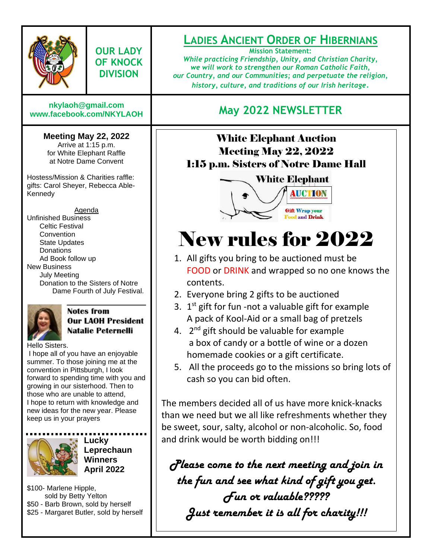

**OUR LADY OF KNOCK DIVISION**

# **[nkylaoh@gmail.com](mailto:nkylaoh@gmail.com)**

#### **Meeting May 22, 2022**

Arrive at 1:15 p.m. for White Elephant Raffle at Notre Dame Convent

Hostess/Mission & Charities raffle: gifts: Carol Sheyer, Rebecca Able-Kennedy

Agenda Unfinished Business Celtic Festival **Convention** State Updates **Donations** Ad Book follow up New Business July Meeting Donation to the Sisters of Notre Dame Fourth of July Festival.



#### **Notes from Our LAOH President Natalie Peternelli**

Hello Sisters.

I hope all of you have an enjoyable summer. To those joining me at the convention in Pittsburgh, I look forward to spending time with you and growing in our sisterhood. Then to those who are unable to attend, I hope to return with knowledge and new ideas for the new year. Please keep us in your prayers



**Lucky Leprechaun Winners April 2022**

\$100- Marlene Hipple, sold by Betty Yelton \$50 - Barb Brown, sold by herself \$25 - Margaret Butler, sold by herself

## **LADIES ANCIENT ORDER OF HIBERNIANS**

**Mission Statement:** *While practicing Friendship, Unity, and Christian Charity, we will work to strengthen our Roman Catholic Faith, our Country, and our Communities; and perpetuate the religion, history, culture, and traditions of our Irish heritage.*

## **[www.facebook.com/NKYLAOH](http://www.facebook.com/NKYLAOH) May 2022 NEWSLETTER**

### **.** Meeting May 22, 2022 White Elephant Auction 1:15 p.m. Sisters of Notre Dame Hall



# New rules for 2022

- 1. All gifts you bring to be auctioned must be FOOD or DRINK and wrapped so no one knows the contents.
- 2. Everyone bring 2 gifts to be auctioned
- 3.  $1<sup>st</sup>$  gift for fun -not a valuable gift for example A pack of Kool-Aid or a small bag of pretzels
- 4. 2<sup>nd</sup> gift should be valuable for example a box of candy or a bottle of wine or a dozen homemade cookies or a gift certificate.
- 5. All the proceeds go to the missions so bring lots of cash so you can bid often.

The members decided all of us have more knick-knacks than we need but we all like refreshments whether they be sweet, sour, salty, alcohol or non-alcoholic. So, food and drink would be worth bidding on!!!

*Please come to the next meeting and join in the fun and see what kind of gift you get. Fun or valuable????? Just remember it is all for charity!!!*